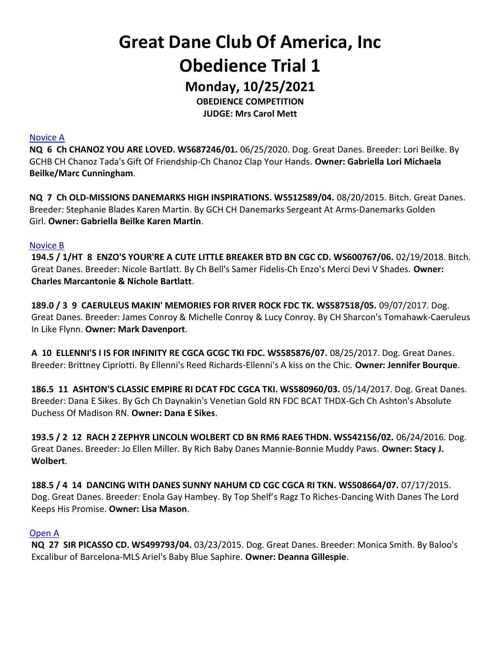# Great Dane Club Of America, Inc Obedience Trial 1

Monday, 10/25/2021

OBEDIENCE COMPETITION JUDGE: Mrs Carol Mett

Novice A

NQ 6 Ch CHANOZ YOU ARE LOVED. WS687246/01. 06/25/2020. Dog. Great Danes. Breeder: Lori Beilke. By GCHB CH Chanoz Tada's Gift Of Friendship-Ch Chanoz Clap Your Hands. Owner: Gabriella Lori Michaela Beilke/Marc Cunningham.

NQ 7 Ch OLD-MISSIONS DANEMARKS HIGH INSPIRATIONS. WS512589/04. 08/20/2015. Bitch. Great Danes. Breeder: Stephanie Blades Karen Martin. By GCH CH Danemarks Sergeant At Arms-Danemarks Golden Girl. Owner: Gabriella Beilke Karen Martin.

#### Novice B

194.5 / 1/HT 8 ENZO'S YOUR'RE A CUTE LITTLE BREAKER BTD BN CGC CD. WS600767/06. 02/19/2018. Bitch. Great Danes. Breeder: Nicole Bartlatt. By Ch Bell's Samer Fidelis-Ch Enzo's Merci Devi V Shades. Owner: Charles Marcantonie & Nichole Bartlatt.

189.0 / 3 9 CAERULEUS MAKIN' MEMORIES FOR RIVER ROCK FDC TK. WS587518/05. 09/07/2017. Dog. Great Danes. Breeder: James Conroy & Michelle Conroy & Lucy Conroy. By CH Sharcon's Tomahawk-Caeruleus In Like Flynn. Owner: Mark Davenport.

A 10 ELLENNI'S I IS FOR INFINITY RE CGCA GCGC TKI FDC. WS585876/07. 08/25/2017. Dog. Great Danes. Breeder: Brittney Cipriotti. By Ellenni's Reed Richards-Ellenni's A kiss on the Chic. Owner: Jennifer Bourque.

186.5 11 ASHTON'S CLASSIC EMPIRE RI DCAT FDC CGCA TKI. WS580960/03. 05/14/2017. Dog. Great Danes. Breeder: Dana E Sikes. By Gch Ch Daynakin's Venetian Gold RN FDC BCAT THDX-Gch Ch Ashton's Absolute Duchess Of Madison RN. Owner: Dana E Sikes.

193.5 / 2 12 RACH 2 ZEPHYR LINCOLN WOLBERT CD BN RM6 RAE6 THDN. WS542156/02. 06/24/2016. Dog. Great Danes. Breeder: Jo Ellen Miller. By Rich Baby Danes Mannie-Bonnie Muddy Paws. Owner: Stacy J. Wolbert.

188.5 / 4 14 DANCING WITH DANES SUNNY NAHUM CD CGC CGCA RI TKN. WS508664/07. 07/17/2015. Dog. Great Danes. Breeder: Enola Gay Hambey. By Top Shelf's Ragz To Riches-Dancing With Danes The Lord Keeps His Promise. Owner: Lisa Mason.

#### Open A

NQ 27 SIR PICASSO CD. WS499793/04. 03/23/2015. Dog. Great Danes. Breeder: Monica Smith. By Baloo's Excalibur of Barcelona-MLS Ariel's Baby Blue Saphire. Owner: Deanna Gillespie.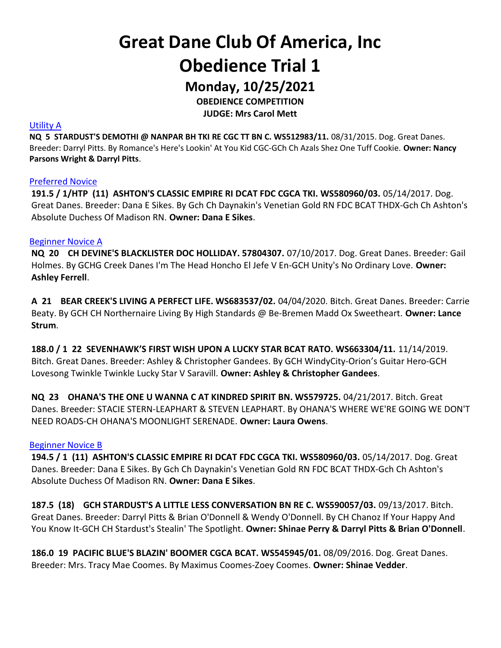Great Dane Club Of America, Inc Obedience Trial 1

Monday, 10/25/2021

OBEDIENCE COMPETITION

JUDGE: Mrs Carol Mett

#### Utility A

NQ 5 STARDUST'S DEMOTHI @ NANPAR BH TKI RE CGC TT BN C. WS512983/11. 08/31/2015. Dog. Great Danes. Breeder: Darryl Pitts. By Romance's Here's Lookin' At You Kid CGC-GCh Ch Azals Shez One Tuff Cookie. Owner: Nancy Parsons Wright & Darryl Pitts.

#### Preferred Novice

191.5 / 1/HTP (11) ASHTON'S CLASSIC EMPIRE RI DCAT FDC CGCA TKI. WS580960/03. 05/14/2017. Dog. Great Danes. Breeder: Dana E Sikes. By Gch Ch Daynakin's Venetian Gold RN FDC BCAT THDX-Gch Ch Ashton's Absolute Duchess Of Madison RN. Owner: Dana E Sikes.

#### Beginner Novice A

NQ 20 CH DEVINE'S BLACKLISTER DOC HOLLIDAY. 57804307. 07/10/2017. Dog. Great Danes. Breeder: Gail Holmes. By GCHG Creek Danes I'm The Head Honcho El Jefe V En-GCH Unity's No Ordinary Love. Owner: Ashley Ferrell.

A 21 BEAR CREEK'S LIVING A PERFECT LIFE. WS683537/02. 04/04/2020. Bitch. Great Danes. Breeder: Carrie Beaty. By GCH CH Northernaire Living By High Standards @ Be-Bremen Madd Ox Sweetheart. Owner: Lance Strum.

188.0 / 1 22 SEVENHAWK'S FIRST WISH UPON A LUCKY STAR BCAT RATO. WS663304/11. 11/14/2019. Bitch. Great Danes. Breeder: Ashley & Christopher Gandees. By GCH WindyCity-Orion's Guitar Hero-GCH Lovesong Twinkle Twinkle Lucky Star V Saravill. Owner: Ashley & Christopher Gandees.

NQ 23 OHANA'S THE ONE U WANNA C AT KINDRED SPIRIT BN. WS579725. 04/21/2017. Bitch. Great Danes. Breeder: STACIE STERN-LEAPHART & STEVEN LEAPHART. By OHANA'S WHERE WE'RE GOING WE DON'T NEED ROADS-CH OHANA'S MOONLIGHT SERENADE. Owner: Laura Owens.

#### Beginner Novice B

194.5 / 1 (11) ASHTON'S CLASSIC EMPIRE RI DCAT FDC CGCA TKI. WS580960/03. 05/14/2017. Dog. Great Danes. Breeder: Dana E Sikes. By Gch Ch Daynakin's Venetian Gold RN FDC BCAT THDX-Gch Ch Ashton's Absolute Duchess Of Madison RN. Owner: Dana E Sikes.

187.5 (18) GCH STARDUST'S A LITTLE LESS CONVERSATION BN RE C. WS590057/03. 09/13/2017. Bitch. Great Danes. Breeder: Darryl Pitts & Brian O'Donnell & Wendy O'Donnell. By CH Chanoz If Your Happy And You Know It-GCH CH Stardust's Stealin' The Spotlight. Owner: Shinae Perry & Darryl Pitts & Brian O'Donnell.

186.0 19 PACIFIC BLUE'S BLAZIN' BOOMER CGCA BCAT. WS545945/01. 08/09/2016. Dog. Great Danes. Breeder: Mrs. Tracy Mae Coomes. By Maximus Coomes-Zoey Coomes. Owner: Shinae Vedder.